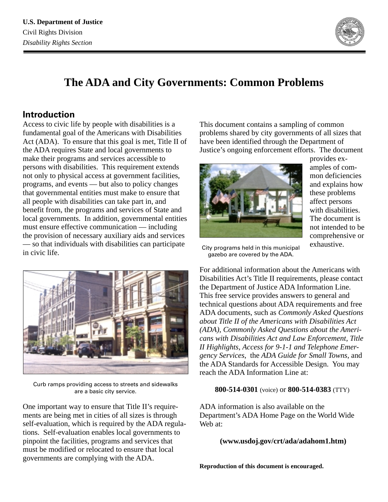

# **The ADA and City Governments: Common Problems**

# **Introduction**

Access to civic life by people with disabilities is a fundamental goal of the Americans with Disabilities Act (ADA). To ensure that this goal is met, Title II of the ADA requires State and local governments to make their programs and services accessible to persons with disabilities. This requirement extends not only to physical access at government facilities, programs, and events — but also to policy changes that governmental entities must make to ensure that all people with disabilities can take part in, and benefit from, the programs and services of State and local governments. In addition, governmental entities must ensure effective communication — including the provision of necessary auxiliary aids and services — so that individuals with disabilities can participate in civic life.



Curb ramps providing access to streets and sidewalks are a basic city service.

One important way to ensure that Title II's requirements are being met in cities of all sizes is through self-evaluation, which is required by the ADA regulations. Self-evaluation enables local governments to pinpoint the facilities, programs and services that must be modified or relocated to ensure that local governments are complying with the ADA.

This document contains a sampling of common problems shared by city governments of all sizes that have been identified through the Department of Justice's ongoing enforcement efforts. The document



provides examples of common deficiencies and explains how these problems affect persons with disabilities. The document is not intended to be comprehensive or exhaustive.

City programs held in this municipal gazebo are covered by the ADA.

For additional information about the Americans with Disabilities Act's Title II requirements, please contact the Department of Justice ADA Information Line. This free service provides answers to general and technical questions about ADA requirements and free ADA documents, such as *Commonly Asked Questions about Title II of the Americans with Disabilities Act (ADA)*, *Commonly Asked Questions about the Americans with Disabilities Act and Law Enforcement*, *Title II Highlights*, *Access for 9-1-1 and Telephone Emergency Services*, the *ADA Guide for Small Towns*, and the ADA Standards for Accessible Design. You may reach the ADA Information Line at:

#### **800-514-0301** (voice) or **800-514-0383** (TTY)

ADA information is also available on the Department's ADA Home Page on the World Wide Web at:

#### **(www.usdoj.gov/crt/ada/adahom1.htm)**

**Reproduction of this document is encouraged.**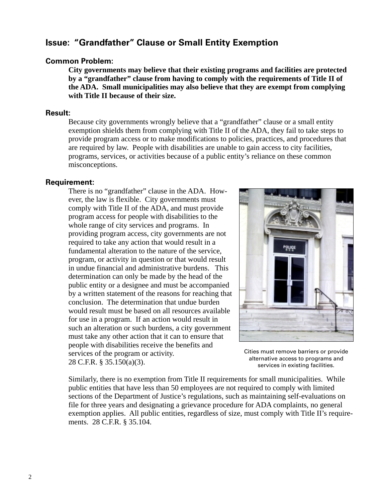### **Issue: "Grandfather" Clause or Small Entity Exemption**

#### **Common Problem:**

**City governments may believe that their existing programs and facilities are protected by a "grandfather" clause from having to comply with the requirements of Title II of the ADA. Small municipalities may also believe that they are exempt from complying with Title II because of their size.**

#### **Result:**

Because city governments wrongly believe that a "grandfather" clause or a small entity exemption shields them from complying with Title II of the ADA, they fail to take steps to provide program access or to make modifications to policies, practices, and procedures that are required by law. People with disabilities are unable to gain access to city facilities, programs, services, or activities because of a public entity's reliance on these common misconceptions.

#### **Requirement:**

There is no "grandfather" clause in the ADA. However, the law is flexible. City governments must comply with Title II of the ADA, and must provide program access for people with disabilities to the whole range of city services and programs. In providing program access, city governments are not required to take any action that would result in a fundamental alteration to the nature of the service, program, or activity in question or that would result in undue financial and administrative burdens. This determination can only be made by the head of the public entity or a designee and must be accompanied by a written statement of the reasons for reaching that conclusion. The determination that undue burden would result must be based on all resources available for use in a program. If an action would result in such an alteration or such burdens, a city government must take any other action that it can to ensure that people with disabilities receive the benefits and services of the program or activity. 28 C.F.R. § 35.150(a)(3).



Cities must remove barriers or provide alternative access to programs and services in existing facilities.

Similarly, there is no exemption from Title II requirements for small municipalities. While public entities that have less than 50 employees are not required to comply with limited sections of the Department of Justice's regulations, such as maintaining self-evaluations on file for three years and designating a grievance procedure for ADA complaints, no general exemption applies. All public entities, regardless of size, must comply with Title II's requirements. 28 C.F.R. § 35.104.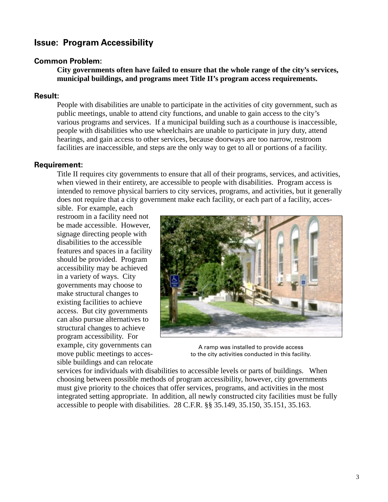### **Issue: Program Accessibility**

#### **Common Problem:**

**City governments often have failed to ensure that the whole range of the city's services, municipal buildings, and programs meet Title II's program access requirements.**

#### **Result:**

People with disabilities are unable to participate in the activities of city government, such as public meetings, unable to attend city functions, and unable to gain access to the city's various programs and services. If a municipal building such as a courthouse is inaccessible, people with disabilities who use wheelchairs are unable to participate in jury duty, attend hearings, and gain access to other services, because doorways are too narrow, restroom facilities are inaccessible, and steps are the only way to get to all or portions of a facility.

#### **Requirement:**

Title II requires city governments to ensure that all of their programs, services, and activities, when viewed in their entirety, are accessible to people with disabilities. Program access is intended to remove physical barriers to city services, programs, and activities, but it generally does not require that a city government make each facility, or each part of a facility, acces-

sible. For example, each restroom in a facility need not be made accessible. However, signage directing people with disabilities to the accessible features and spaces in a facility should be provided. Program accessibility may be achieved in a variety of ways. City governments may choose to make structural changes to existing facilities to achieve access. But city governments can also pursue alternatives to structural changes to achieve program accessibility. For example, city governments can move public meetings to accessible buildings and can relocate



A ramp was installed to provide access to the city activities conducted in this facility.

services for individuals with disabilities to accessible levels or parts of buildings. When choosing between possible methods of program accessibility, however, city governments must give priority to the choices that offer services, programs, and activities in the most integrated setting appropriate. In addition, all newly constructed city facilities must be fully accessible to people with disabilities. 28 C.F.R. §§ 35.149, 35.150, 35.151, 35.163.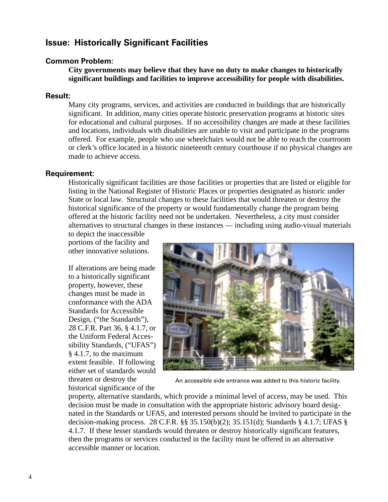### **Issue: Historically Significant Facilities**

#### **Common Problem:**

**City governments may believe that they have no duty to make changes to historically significant buildings and facilities to improve accessibility for people with disabilities.**

#### **Result:**

Many city programs, services, and activities are conducted in buildings that are historically significant. In addition, many cities operate historic preservation programs at historic sites for educational and cultural purposes. If no accessibility changes are made at these facilities and locations, individuals with disabilities are unable to visit and participate in the programs offered. For example, people who use wheelchairs would not be able to reach the courtroom or clerk's office located in a historic nineteenth century courthouse if no physical changes are made to achieve access.

#### **Requirement:**

Historically significant facilities are those facilities or properties that are listed or eligible for listing in the National Register of Historic Places or properties designated as historic under State or local law. Structural changes to these facilities that would threaten or destroy the historical significance of the property or would fundamentally change the program being offered at the historic facility need not be undertaken. Nevertheless, a city must consider alternatives to structural changes in these instances — including using audio-visual materials

to depict the inaccessible portions of the facility and other innovative solutions.

If alterations are being made to a historically significant property, however, these changes must be made in conformance with the ADA Standards for Accessible Design, ("the Standards"), 28 C.F.R. Part 36, § 4.1.7, or the Uniform Federal Accessibility Standards, ("UFAS") § 4.1.7, to the maximum extent feasible. If following either set of standards would threaten or destroy the historical significance of the



An accessible side entrance was added to this historic facility.

property, alternative standards, which provide a minimal level of access, may be used. This decision must be made in consultation with the appropriate historic advisory board designated in the Standards or UFAS, and interested persons should be invited to participate in the decision-making process. 28 C.F.R. §§ 35.150(b)(2); 35.151(d); Standards § 4.1.7; UFAS § 4.1.7. If these lesser standards would threaten or destroy historically significant features, then the programs or services conducted in the facility must be offered in an alternative accessible manner or location.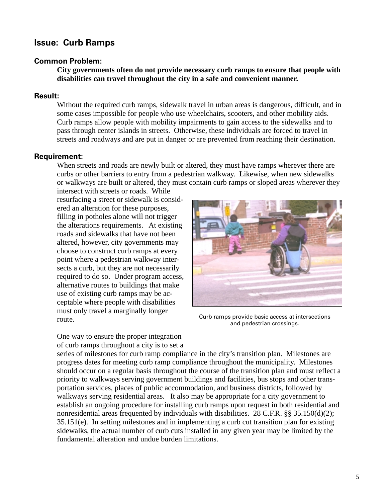# **Issue: Curb Ramps**

#### **Common Problem:**

**City governments often do not provide necessary curb ramps to ensure that people with disabilities can travel throughout the city in a safe and convenient manner.**

#### **Result:**

Without the required curb ramps, sidewalk travel in urban areas is dangerous, difficult, and in some cases impossible for people who use wheelchairs, scooters, and other mobility aids. Curb ramps allow people with mobility impairments to gain access to the sidewalks and to pass through center islands in streets. Otherwise, these individuals are forced to travel in streets and roadways and are put in danger or are prevented from reaching their destination.

#### **Requirement:**

When streets and roads are newly built or altered, they must have ramps wherever there are curbs or other barriers to entry from a pedestrian walkway. Likewise, when new sidewalks or walkways are built or altered, they must contain curb ramps or sloped areas wherever they

intersect with streets or roads. While resurfacing a street or sidewalk is considered an alteration for these purposes, filling in potholes alone will not trigger the alterations requirements. At existing roads and sidewalks that have not been altered, however, city governments may choose to construct curb ramps at every point where a pedestrian walkway intersects a curb, but they are not necessarily required to do so. Under program access, alternative routes to buildings that make use of existing curb ramps may be acceptable where people with disabilities must only travel a marginally longer route.



Curb ramps provide basic access at intersections and pedestrian crossings.

One way to ensure the proper integration of curb ramps throughout a city is to set a

series of milestones for curb ramp compliance in the city's transition plan. Milestones are progress dates for meeting curb ramp compliance throughout the municipality. Milestones should occur on a regular basis throughout the course of the transition plan and must reflect a priority to walkways serving government buildings and facilities, bus stops and other transportation services, places of public accommodation, and business districts, followed by walkways serving residential areas. It also may be appropriate for a city government to establish an ongoing procedure for installing curb ramps upon request in both residential and nonresidential areas frequented by individuals with disabilities. 28 C.F.R. §§ 35.150(d)(2); 35.151(e). In setting milestones and in implementing a curb cut transition plan for existing sidewalks, the actual number of curb cuts installed in any given year may be limited by the fundamental alteration and undue burden limitations.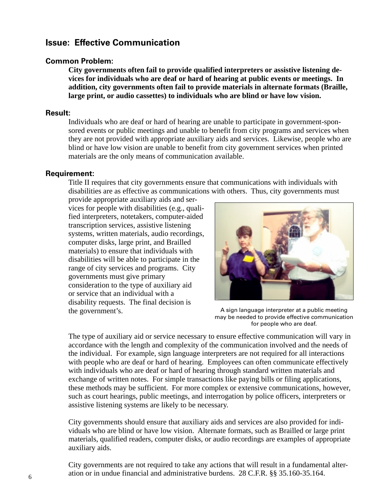### **Issue: Effective Communication**

#### **Common Problem:**

**City governments often fail to provide qualified interpreters or assistive listening devices for individuals who are deaf or hard of hearing at public events or meetings. In addition, city governments often fail to provide materials in alternate formats (Braille, large print, or audio cassettes) to individuals who are blind or have low vision.**

#### **Result:**

Individuals who are deaf or hard of hearing are unable to participate in government-sponsored events or public meetings and unable to benefit from city programs and services when they are not provided with appropriate auxiliary aids and services. Likewise, people who are blind or have low vision are unable to benefit from city government services when printed materials are the only means of communication available.

#### **Requirement:**

Title II requires that city governments ensure that communications with individuals with disabilities are as effective as communications with others. Thus, city governments must

provide appropriate auxiliary aids and services for people with disabilities (e.g., qualified interpreters, notetakers, computer-aided transcription services, assistive listening systems, written materials, audio recordings, computer disks, large print, and Brailled materials) to ensure that individuals with disabilities will be able to participate in the range of city services and programs. City governments must give primary consideration to the type of auxiliary aid or service that an individual with a disability requests. The final decision is the government's.



A sign language interpreter at a public meeting may be needed to provide effective communication for people who are deaf.

The type of auxiliary aid or service necessary to ensure effective communication will vary in accordance with the length and complexity of the communication involved and the needs of the individual. For example, sign language interpreters are not required for all interactions with people who are deaf or hard of hearing. Employees can often communicate effectively with individuals who are deaf or hard of hearing through standard written materials and exchange of written notes. For simple transactions like paying bills or filing applications, these methods may be sufficient. For more complex or extensive communications, however, such as court hearings, public meetings, and interrogation by police officers, interpreters or assistive listening systems are likely to be necessary.

City governments should ensure that auxiliary aids and services are also provided for individuals who are blind or have low vision. Alternate formats, such as Brailled or large print materials, qualified readers, computer disks, or audio recordings are examples of appropriate auxiliary aids.

City governments are not required to take any actions that will result in a fundamental alteration or in undue financial and administrative burdens. 28 C.F.R. §§ 35.160-35.164.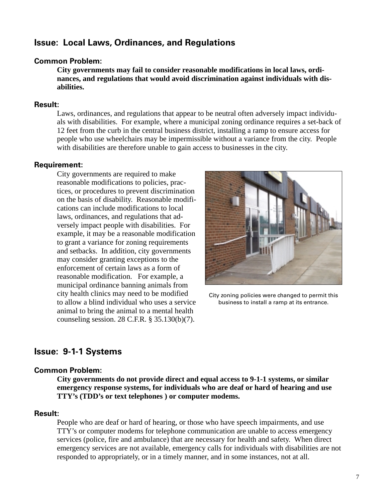### **Issue: Local Laws, Ordinances, and Regulations**

#### **Common Problem:**

**City governments may fail to consider reasonable modifications in local laws, ordinances, and regulations that would avoid discrimination against individuals with disabilities.**

#### **Result:**

Laws, ordinances, and regulations that appear to be neutral often adversely impact individuals with disabilities. For example, where a municipal zoning ordinance requires a set-back of 12 feet from the curb in the central business district, installing a ramp to ensure access for people who use wheelchairs may be impermissible without a variance from the city. People with disabilities are therefore unable to gain access to businesses in the city.

#### **Requirement:**

City governments are required to make reasonable modifications to policies, practices, or procedures to prevent discrimination on the basis of disability. Reasonable modifications can include modifications to local laws, ordinances, and regulations that adversely impact people with disabilities. For example, it may be a reasonable modification to grant a variance for zoning requirements and setbacks. In addition, city governments may consider granting exceptions to the enforcement of certain laws as a form of reasonable modification. For example, a municipal ordinance banning animals from city health clinics may need to be modified to allow a blind individual who uses a service animal to bring the animal to a mental health counseling session. 28 C.F.R. § 35.130(b)(7).



City zoning policies were changed to permit this business to install a ramp at its entrance.

### **Issue: 9-1-1 Systems**

#### **Common Problem:**

**City governments do not provide direct and equal access to 9-1-1 systems, or similar emergency response systems, for individuals who are deaf or hard of hearing and use TTY's (TDD's or text telephones ) or computer modems.**

#### **Result:**

People who are deaf or hard of hearing, or those who have speech impairments, and use TTY's or computer modems for telephone communication are unable to access emergency services (police, fire and ambulance) that are necessary for health and safety. When direct emergency services are not available, emergency calls for individuals with disabilities are not responded to appropriately, or in a timely manner, and in some instances, not at all.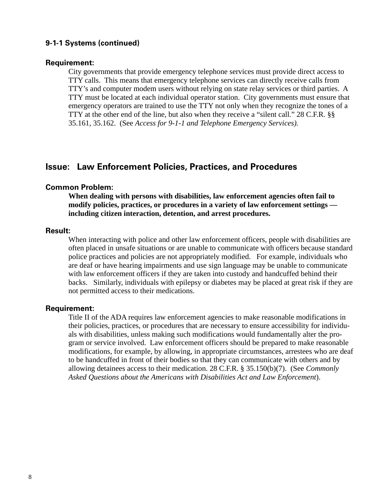#### **9-1-1 Systems (continued)**

#### **Requirement:**

City governments that provide emergency telephone services must provide direct access to TTY calls. This means that emergency telephone services can directly receive calls from TTY's and computer modem users without relying on state relay services or third parties. A TTY must be located at each individual operator station. City governments must ensure that emergency operators are trained to use the TTY not only when they recognize the tones of a TTY at the other end of the line, but also when they receive a "silent call." 28 C.F.R. §§ 35.161, 35.162. (See *Access for 9-1-1 and Telephone Emergency Services).*

### **Issue: Law Enforcement Policies, Practices, and Procedures**

#### **Common Problem:**

**When dealing with persons with disabilities, law enforcement agencies often fail to modify policies, practices, or procedures in a variety of law enforcement settings including citizen interaction, detention, and arrest procedures.**

#### **Result:**

When interacting with police and other law enforcement officers, people with disabilities are often placed in unsafe situations or are unable to communicate with officers because standard police practices and policies are not appropriately modified. For example, individuals who are deaf or have hearing impairments and use sign language may be unable to communicate with law enforcement officers if they are taken into custody and handcuffed behind their backs. Similarly, individuals with epilepsy or diabetes may be placed at great risk if they are not permitted access to their medications.

#### **Requirement:**

Title II of the ADA requires law enforcement agencies to make reasonable modifications in their policies, practices, or procedures that are necessary to ensure accessibility for individuals with disabilities, unless making such modifications would fundamentally alter the program or service involved. Law enforcement officers should be prepared to make reasonable modifications, for example, by allowing, in appropriate circumstances, arrestees who are deaf to be handcuffed in front of their bodies so that they can communicate with others and by allowing detainees access to their medication. 28 C.F.R. § 35.150(b)(7). (See *Commonly Asked Questions about the Americans with Disabilities Act and Law Enforcement*).